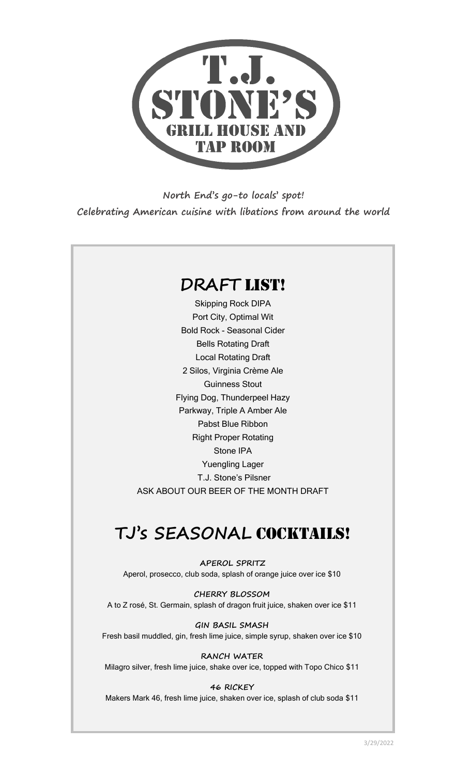

**North End's go-to locals' spot! Celebrating American cuisine with libations from around the world**

## **DRAFT** List!

Skipping Rock DIPA Port City, Optimal Wit Bold Rock - Seasonal Cider Bells Rotating Draft Local Rotating Draft 2 Silos, Virginia Crème Ale Guinness Stout Flying Dog, Thunderpeel Hazy Parkway, Triple A Amber Ale Pabst Blue Ribbon Right Proper Rotating Stone IPA Yuengling Lager T.J. Stone's Pilsner ASK ABOUT OUR BEER OF THE MONTH DRAFT

# **TJ's SEASONAL** COCKTAILS!

**APEROL SPRITZ** Aperol, prosecco, club soda, splash of orange juice over ice \$10

**CHERRY BLOSSOM** A to Z rosé, St. Germain, splash of dragon fruit juice, shaken over ice \$11

**GIN BASIL SMASH** Fresh basil muddled, gin, fresh lime juice, simple syrup, shaken over ice \$10

**RANCH WATER** Milagro silver, fresh lime juice, shake over ice, topped with Topo Chico \$11

#### **46 RICKEY**

Makers Mark 46, fresh lime juice, shaken over ice, splash of club soda \$11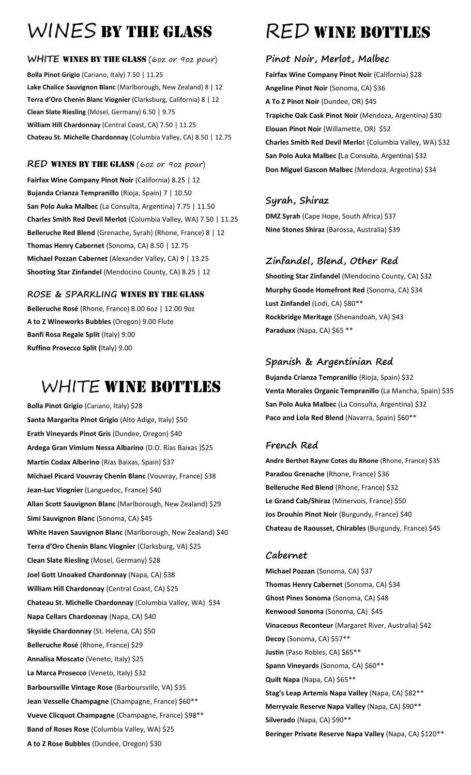# WINES BY THE GLASS

## WHITE WINES BY THE GLASS (60z or 90z pour)

**Bolla Pinot Grigio** (Cariano, Italy) 7.50 | 11.25 **Lake Chalice Sauvignon Blanc** (Marlborough, New Zealand) 8 | 12 **Terra d'Oro Chenin Blanc Viognier** (Clarksburg, California) 8 | 12 **Clean Slate Riesling** (Mosel, Germany) 6.50 | 9.75 **William Hill Chardonnay** (Central Coast, CA) 7.50 | 11.25 **Chateau St. Michelle Chardonnay** (Columbia Valley, CA) 8.50 | 12.75

## RED WINES BY THE GLASS (60z or 90z pour)

**Fairfax Wine Company Pinot Noir** (California) 8.25 | 12 **Bujanda Crianza Tempranillo** (Rioja, Spain) 7 | 10.50 **San Polo Auka Malbec** (La Consulta, Argentina) 7.75 | 11.50 **Charles Smith Red Devil Merlot** (Columbia Valley, WA) 7.50 | 11.25 **Belleruche Red Blend** (Grenache, Syrah) (Rhone, France) 8 | 12 **Thomas Henry Cabernet** (Sonoma, CA) 8.50 | 12.75 **Michael Pozzan Cabernet** (Alexander Valley, CA) 9 | 13.25 **Shooting Star Zinfandel** (Mendocino County, CA) 8.25 | 12

## **ROSE & SPARKLING** Wines by the Glass

**Belleruche Rosé** (Rhone, France) 8.00 6oz | 12.00 9oz **A to Z Wineworks Bubbles** (Oregon) 9.00 Flute **Banfi Rosa Regale Split** (Italy) 9.00 **Ruffino Prosecco Split (**Italy) 9.00

# WHITE WINE BOTTLES

**Bolla Pinot Grigio** (Cariano, Italy) \$28 **Santa Margarita Pinot Grigio** (Alto Adige, Italy) \$50 **Erath Vineyards Pinot Gris** (Dundee, Oregon) \$40 **Ardega Gran Vimium Nessa Albarino** (D.O. Rías Baixas )\$25 **Martin Codax Alberino** (Rias Baixas, Spain) \$37 **Michael Picard Vouvray Chenin Blanc** (Vouvray, France) \$38 **Jean-Luc Viognier** (Languedoc, France) \$40 **Allan Scott Sauvignon Blanc** (Marlborough, New Zealand) \$29 **Simi Sauvignon Blanc** (Sonoma, CA) \$45 **White Haven Sauvignon Blanc** (Marlborough, New Zealand) \$40 **Terra d'Oro Chenin Blanc Viognier** (Clarksburg, VA) \$25 **Clean Slate Riesling** (Mosel, Germany) \$28 **Joel Gott Unoaked Chardonnay** (Napa, CA) \$38 **William Hill Chardonnay** (Central Coast, CA) \$25 **Chateau St. Michelle Chardonnay** (Columbia Valley, WA) \$34 **Napa Cellars Chardonnay** (Napa, CA) \$40 **Skyside Chardonnay** (St. Helena, CA) \$50 **Belleruche Rosé** (Rhone, France) \$29 **Annalisa Moscato** (Veneto, Italy) \$25 **La Marca Prosecco** (Veneto, Italy) \$32 **Barboursville Vintage Rose** (Barboursville, VA) \$35 **Jean Vesselle Champagne** (Champagne, France) \$60\*\* **Vueve Clicquot Champagne** (Champagne, France) \$98\*\* **Band of Roses Rose** (Columbia Valley, WA) \$25 **A to Z Rose Bubbles** (Dundee, Oregon) \$30

# **RED WINE BOTTLES**

## **Pinot Noir, Merlot, Malbec**

**Fairfax Wine Company Pinot Noir** (California) \$28 **Angeline Pinot Noir** (Sonoma, CA) \$36 **A To Z Pinot Noir** (Dundee, OR) \$45 **Trapiche Oak Cask Pinot Noir** (Mendoza, Argentina) \$30 **Elouan Pinot Noir** (Willamette, OR) \$52 **Charles Smith Red Devil Merlo**t (Columbia Valley, WA) \$32 **San Polo Auka Malbec (**La Consulta, Argentina) \$32 **Don Miguel Gascon Malbec** (Mendoza, Argentina) \$34

## **Syrah, Shiraz**

**DMZ Syrah** (Cape Hope, South Africa) \$37 **Nine Stones Shiraz** (Barossa, Australia) \$39

## **Zinfandel, Blend, Other Red**

**Shooting Star Zinfandel** (Mendocino County, CA) \$32 **Murphy Goode Homefront Red** (Sonoma, CA) \$34 **Lust Zinfandel** (Lodi, CA) \$80\*\* **Rockbridge Meritage** (Shenandoah, VA) \$43 **Paraduxx** (Napa, CA) \$65 \*\*

## **Spanish & Argentinian Red**

**Bujanda Crianza Tempranillo** (Rioja, Spain) \$32 **Venta Morales Organic Tempranillo** (La Mancha, Spain) \$35 **San Polo Auka Malbec** (La Consulta, Argentina) \$32 **Paco and Lola Red Blend** (Navarra, Spain) \$60\*\*

## **French Red**

**Andre Berthet Rayne Cotes du Rhone** (Rhone, France) \$35 **Paradou Grenache** (Rhone, France) \$36 **Belleruche Red Blend** (Rhone, France) \$32 **Le Grand Cab/Shiraz** (Minervois, France) \$50 **Jos Drouhin Pinot Noir** (Burgundy, France) \$40 **Chateau de Raousset, Chirables** (Burgundy, France) \$45

## **Cabernet**

**Michael Pozzan** (Sonoma, CA) \$37 **Thomas Henry Cabernet** (Sonoma, CA) \$34 **Ghost Pines Sonoma** (Sonoma, CA) \$48 **Kenwood Sonoma** (Sonoma, CA) \$45 **Vinaceous Reconteur** (Margaret River, Australia) \$42 **Decoy** (Sonoma, CA) \$57\*\* **Justin** (Paso Robles, CA) \$65\*\* **Spann Vineyards** (Sonoma, CA) \$60\*\* **Quilt Napa** (Napa, CA) \$65\*\* **Stag's Leap Artemis Napa Valley** (Napa, CA) \$82\*\* **Merryvale Reserve Napa Valley** (Napa, CA) \$90\*\* **Silverado** (Napa, CA) \$90\*\* **Beringer Private Reserve Napa Valley** (Napa, CA) \$120\*\*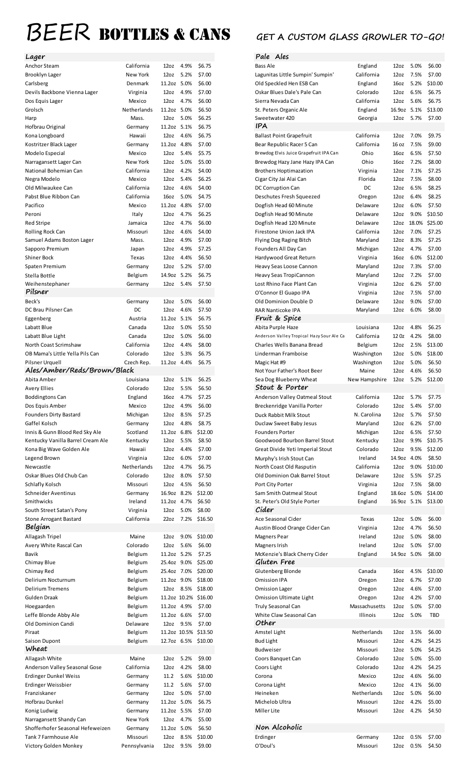# BEER BOTTLES & CANS GET A CUSTOM GLASS GROWLER TO-GO!

| Lager                             |                               |                  |           |                      |
|-----------------------------------|-------------------------------|------------------|-----------|----------------------|
| <b>Anchor Steam</b>               | California                    | 12oz             | 4.9%      | \$6.75               |
| Brooklyn Lager                    | New York                      | 12 <sub>oz</sub> | 5.2%      | \$7.00               |
| Carlsberg                         | Denmark                       | 11.2oz 5.0%      |           | \$6.00               |
| Devils Backbone Vienna Lager      | Virginia                      | 12 <sub>oz</sub> | 4.9%      | \$7.00               |
| Dos Equis Lager                   | Mexico                        | 12 <sub>oz</sub> | 4.7%      | \$6.00               |
|                                   | Netherlands                   | 11.2oz 5.0%      |           | \$6.50               |
| Grolsch                           |                               |                  |           |                      |
| Harp                              | Mass.                         | 12 <sub>oz</sub> | 5.0%      | \$6.25               |
| Hofbrau Original                  | Germany                       | 11.2oz 5.1%      |           | \$6.75               |
| Kona Longboard                    | Hawaii                        | 12oz             | 4.6%      | \$6.75               |
| Kostritzer Black Lager            | Germany                       | 11.2oz 4.8%      |           | \$7.00               |
| Modelo Especial                   | Mexico                        | 12 <sub>oz</sub> | 5.4%      | \$5.75               |
| Narragansett Lager Can            | New York                      | 12 <sub>oz</sub> | 5.0%      | \$5.00               |
| National Bohemian Can             | California                    | 12 <sub>oz</sub> | 4.2%      | \$4.00               |
| Negra Modelo                      | Mexico                        | 12 <sub>oz</sub> | 5.4%      | \$6.25               |
| Old Milwaukee Can                 | California                    | 12 <sub>oz</sub> | 4.6%      | \$4.00               |
| Pabst Blue Ribbon Can             | California                    | 16oz             | 5.0%      | \$4.75               |
| Pacifico                          | Mexico                        | 11.2oz 4.8%      |           | \$7.00               |
|                                   |                               |                  |           |                      |
| Peroni                            | Italy                         | 12 <sub>oz</sub> | 4.7%      | \$6.25               |
| <b>Red Stripe</b>                 | Jamaica                       | 12 <sub>oz</sub> | 4.7%      | \$6.00               |
| Rolling Rock Can                  | Missouri                      | 12 <sub>oz</sub> | 4.6%      | \$4.00               |
| Samuel Adams Boston Lager         | Mass.                         | 12 <sub>oz</sub> | 4.9%      | \$7.00               |
| Sapporo Premium                   | Japan                         | 12 <sub>oz</sub> | 4.9%      | \$7.25               |
| <b>Shiner Bock</b>                | Texas                         | 12 <sub>oz</sub> | 4.4%      | \$6.50               |
| Spaten Premium                    | Germany                       | 12 <sub>oz</sub> | 5.2%      | \$7.00               |
| Stella Bottle                     | Belgium                       | 14.9oz 5.2%      |           | \$6.75               |
|                                   |                               |                  |           |                      |
| Weihenstephaner                   | Germany                       | 12 <sub>oz</sub> | 5.4%      | \$7.50               |
| Pilsner                           |                               |                  |           |                      |
| Beck's                            | Germany                       | 12oz             | 5.0%      | \$6.00               |
| DC Brau Pilsner Can               | DC                            | 12 <sub>oz</sub> | 4.6%      | \$7.50               |
| Eggenberg                         | Austria                       | 11.2oz 5.1%      |           | \$6.75               |
| Labatt Blue                       | Canada                        | 12 <sub>oz</sub> | 5.0%      | \$5.50               |
| Labatt Blue Light                 | Canada                        | 12 <sub>oz</sub> | 5.0%      | \$6.00               |
| North Coast Scrimshaw             | California                    | 12 <sub>oz</sub> | 4.4%      | \$8.00               |
|                                   | Colorado                      | 12 <sub>oz</sub> | 5.3%      | \$6.75               |
| OB Mama's Little Yella Pils Can   |                               |                  |           |                      |
| Pilsner Urquell                   | Czech Rep.                    | 11.2oz 4.4%      |           | \$6.75               |
| Ales/Amber/Reds/Brown/Black       |                               |                  |           |                      |
| Abita Amber                       | Louisiana                     | 12oz             | 5.1%      | \$6.25               |
| <b>Avery Ellies</b>               | Colorado                      | 12oz             | 5.5%      | \$6.50               |
| <b>Boddingtons Can</b>            | England                       | 16oz             | 4.7%      | \$7.25               |
| Dos Equis Amber                   | Mexico                        | 12oz             | 4.9%      | \$6.00               |
| <b>Founders Dirty Bastard</b>     | Michigan                      | 12oz             | 8.5%      | \$7.25               |
| Gaffel Kolsch                     | Germany                       | 12 <sub>oz</sub> | 4.8%      | \$8.75               |
| Innis & Gunn Blood Red Sky Ale    | Scotland                      | 11.2oz 6.8%      |           | \$12.00              |
| Kentucky Vanilla Barrel Cream Ale | Kentucky                      | 12 <sub>oz</sub> | 5.5%      | \$8.50               |
|                                   |                               |                  |           |                      |
| Kona Big Wave Golden Ale          | Hawaii                        | 12 <sub>oz</sub> | 4.4%      | \$7.00               |
| Legend Brown                      | Virginia                      | 12 <sub>oz</sub> | 6.0%      | \$7.00               |
| Newcastle                         | Netherlands                   | 12 <sub>oz</sub> | 4.7%      | \$6.75               |
| Oskar Blues Old Chub Can          | Colorado                      | 12 <sub>oz</sub> | 8.0%      | \$7.50               |
| Schlafly Kolsch                   | Missouri                      | 12 <sub>oz</sub> | 4.5%      | \$6.50               |
| Schneider Aventinus               | Germany                       | 16.90z 8.2%      |           | \$12.00              |
| Smithwicks                        | Ireland                       | 11.2oz 4.7%      |           | \$6.50               |
| South Street Satan's Pony         | Virginia                      | 12 <sub>oz</sub> | 5.0%      | \$8.00               |
|                                   |                               |                  | 7.2%      |                      |
| <b>Stone Arrogant Bastard</b>     | California                    | 22oz             |           | \$16.50              |
| Belgian                           |                               |                  |           |                      |
| Allagash Tripel                   | Maine                         |                  | 12oz 9.0% | \$10.00              |
| Avery White Rascal Can            | Colorado                      | 12oz             | 5.6%      | \$6.00               |
| Bavik                             | Belgium                       | 11.2oz 5.2%      |           | \$7.25               |
| Chimay Blue                       | Belgium                       | 25.4oz 9.0%      |           | \$25.00              |
| Chimay Red                        | Belgium                       | 25.4oz 7.0%      |           | \$20.00              |
| Delirium Nocturnum                | Belgium                       | 11.2oz 9.0%      |           | \$18.00              |
| <b>Delirium Tremens</b>           | Belgium                       |                  | 12oz 8.5% | \$18.00              |
| Gulden Draak                      |                               |                  |           | 11.2oz 10.2% \$16.00 |
|                                   | Belgium                       |                  |           |                      |
| Hoegaarden                        | Belgium                       | 11.2oz 4.9%      |           | \$7.00               |
| Leffe Blonde Abby Ale             | Belgium                       | 11.2oz 6.6%      |           | \$7.00               |
| Old Dominion Candi                | Delaware                      |                  | 12oz 9.5% | \$7.00               |
| Piraat                            | Belgium                       |                  |           | 11.2oz 10.5% \$13.50 |
| Saison Dupont                     | Belgium                       |                  |           | 12.7oz 6.5% \$10.00  |
| Wheat                             |                               |                  |           |                      |
| Allagash White                    | Maine                         | 12 <sub>oz</sub> | 5.2%      | \$9.00               |
| Anderson Valley Seasonal Gose     | California                    | 12oz             | 4.2%      | \$8.00               |
|                                   |                               |                  |           |                      |
| <b>Erdinger Dunkel Weiss</b>      | Germany                       | 11.2             | 5.6%      | \$10.00              |
| Erdinger Weissbier                | Germany                       | 11.2             | 5.6%      | \$7.00               |
| Franziskaner                      | Germany                       | 12 <sub>oz</sub> | 5.0%      | \$7.00               |
| Hofbrau Dunkel                    | Germany                       | 11.2oz 5.0%      |           | \$6.75               |
| Konig Ludwig                      | Germany                       | 11.2oz 5.5%      |           | \$7.00               |
| Narragansett Shandy Can           | <b>New York</b>               |                  | 12oz 4.7% | \$5.00               |
| Shofferhofer Seasonal Hefeweizen  | Germany                       | 11.2oz 5.0%      |           | \$6.50               |
| Tank 7 Farmhouse Ale              | Missouri                      |                  |           | 12oz 8.5% \$10.00    |
|                                   |                               |                  |           |                      |
| Victory Golden Monkey             | Pennsylvania 12oz 9.5% \$9.00 |                  |           |                      |

| Bass Ale                                  | England       | 12 <sub>oz</sub> | 5.0%  | \$6.00  |
|-------------------------------------------|---------------|------------------|-------|---------|
| Lagunitas Little Sumpin' Sumpin'          | California    | 12 <sub>oz</sub> | 7.5%  | \$7.00  |
| Old Speckled Hen ESB Can                  | England       | 16oz             | 5.2%  | \$10.00 |
| Oskar Blues Dale's Pale Can               | Colorado      | 12 <sub>oz</sub> | 6.5%  | \$6.75  |
| Sierra Nevada Can                         | California    | 12oz             | 5.6%  | \$6.75  |
| St. Peters Organic Ale                    | England       | 16.9oz           | 5.1%  | \$13.00 |
| Sweetwater 420                            | Georgia       | 12oz             | 5.7%  | \$7.00  |
| IPA                                       |               |                  |       |         |
| <b>Ballast Point Grapefruit</b>           | California    | 12 <sub>oz</sub> | 7.0%  | \$9.75  |
| Bear Republic Racer 5 Can                 | California    | 16 oz            | 7.5%  | \$9.00  |
| Brewdog Elvis Juice Grapefruit IPA Can    | Ohio          | 16oz             | 6.5%  | \$7.50  |
| Brewdog Hazy Jane Hazy IPA Can            | Ohio          | 16 <sub>oz</sub> | 7.2%  | \$8.00  |
|                                           |               | 12 <sub>oz</sub> | 7.1%  | \$7.25  |
| <b>Brothers Hoptimazation</b>             | Virginia      |                  |       |         |
| Cigar City Jai Alai Can                   | Florida       | 12 <sub>oz</sub> | 7.5%  | \$8.00  |
| DC Corruption Can                         | DC            | 12 <sub>oz</sub> | 6.5%  | \$8.25  |
| Deschutes Fresh Squeezed                  | Oregon        | 12 <sub>oz</sub> | 6.4%  | \$8.25  |
| Dogfish Head 60 Minute                    | Delaware      | 12oz             | 6.0%  | \$7.50  |
| Dogfish Head 90 Minute                    | Delaware      | 12 <sub>oz</sub> | 9.0%  | \$10.50 |
| Dogfish Head 120 Minute                   | Delaware      | 12oz             | 18.0% | \$25.00 |
| Firestone Union Jack IPA                  | California    | 12 <sub>oz</sub> | 7.0%  | \$7.25  |
| Flying Dog Raging Bitch                   | Maryland      | 12 <sub>oz</sub> | 8.3%  | \$7.25  |
| Founders All Day Can                      | Michigan      | 12 <sub>oz</sub> | 4.7%  | \$7.00  |
| Hardywood Great Return                    | Virginia      | 16oz             | 6.0%  | \$12.00 |
| Heavy Seas Loose Cannon                   | Maryland      | 12 <sub>oz</sub> | 7.3%  | \$7.00  |
| Heavy Seas TropiCannon                    | Maryland      | 12oz             | 7.2%  | \$7.00  |
| Lost Rhino Face Plant Can                 | Virginia      | 12 <sub>oz</sub> | 6.2%  | \$7.00  |
| O'Connor El Guapo IPA                     | Virginia      | 12 <sub>oz</sub> | 7.5%  | \$7.00  |
| Old Dominion Double D                     | Delaware      | 12 <sub>oz</sub> | 9.0%  | \$7.00  |
| RAR Nanticoke IPA                         | Maryland      | 12 <sub>oz</sub> | 6.0%  | \$8.00  |
| Fruit & Spice                             |               |                  |       |         |
| Abita Purple Haze                         | Louisiana     | 12oz             | 4.8%  | \$6.25  |
| Anderson Valley Tropical Hazy Sour Ale Ca | California    | 12 Oz            | 4.2%  | \$8.00  |
| Charles Wells Banana Bread                | Belgium       | 12oz             | 2.5%  | \$13.00 |
| Linderman Framboise                       | Washington    | 12oz             | 5.0%  | \$18.00 |
| Magic Hat #9                              | Washington    | 12 <sub>oz</sub> | 5.0%  | \$6.50  |
| Not Your Father's Root Beer               | Maine         | 12oz             | 4.6%  | \$6.50  |
| Sea Dog Blueberry Wheat                   | New Hampshire | 12 <sub>oz</sub> | 5.2%  | \$12.00 |
| Stout & Porter                            |               |                  |       |         |
| Anderson Valley Oatmeal Stout             | California    | 12oz             | 5.7%  | \$7.75  |
| Breckenridge Vanilla Porter               | Colorado      | 12oz             | 5.4%  | \$7.00  |
| Duck Rabbit Milk Stout                    | N. Carolina   | 12 <sub>oz</sub> | 5.7%  | \$7.50  |
| Duclaw Sweet Baby Jesus                   | Maryland      | 12oz             | 6.2%  | \$7.00  |
| <b>Founders Porter</b>                    | Michigan      | 12 <sub>oz</sub> | 6.5%  | \$7.50  |
| Goodwood Bourbon Barrel Stout             | Kentucky      | 12 <sub>oz</sub> | 9.9%  | \$10.75 |
|                                           |               |                  | 9.5%  | \$12.00 |
| Great Divide Yeti Imperial Stout          |               |                  |       |         |
|                                           | Colorado      | 12 <sub>oz</sub> |       |         |
| Murphy's Irish Stout Can                  | Ireland       | 14.9oz           | 4.0%  | \$8.50  |
| North Coast Old Rasputin                  | California    | 12oz             | 9.0%  | \$10.00 |
| Old Dominion Oak Barrel Stout             | Delaware      | 12 <sub>oz</sub> | 5.5%  | \$7.25  |
| Port City Porter                          | Virginia      | 12 <sub>oz</sub> | 7.5%  | \$8.00  |
| Sam Smith Oatmeal Stout                   | England       | 18.6oz           | 5.0%  | \$14.00 |
| St. Peter's Old Style Porter              | England       | 16.9oz           | 5.1%  | \$13.00 |
| Cider                                     |               |                  |       |         |
| Ace Seasonal Cider                        | Texas         | 12 <sub>oz</sub> | 5.0%  | \$6.00  |
| Austin Blood Orange Cider Can             | Virginia      | 12oz             | 4.7%  | \$6.50  |
| Magners Pear                              | Ireland       | 12 <sub>oz</sub> | 5.0%  | \$8.00  |
| Magners Irish                             | Ireland       | 12oz             | 5.0%  | \$7.00  |
| McKenzie's Black Cherry Cider             | England       | 14.9oz           | 5.0%  | \$8.00  |
| Gluten Free                               |               |                  |       |         |
| Glutenberg Blonde                         | Canada        | 16oz             | 4.5%  | \$10.00 |
| <b>Omission IPA</b>                       | Oregon        | 12 <sub>oz</sub> | 6.7%  | \$7.00  |
| <b>Omission Lager</b>                     | Oregon        | 12 <sub>oz</sub> | 4.6%  | \$7.00  |
| Omission Ultimate Light                   | Oregon        | 12 <sub>oz</sub> | 4.2%  | \$7.00  |
| Truly Seasonal Can                        | Massachusetts | 12 <sub>oz</sub> | 5.0%  | \$7.00  |
| White Claw Seasonal Can                   | Illinois      | 12 <sub>oz</sub> | 5.0%  | TBD     |
| Other                                     |               |                  |       |         |
| Amstel Light                              | Netherlands   | 12 <sub>oz</sub> | 3.5%  | \$6.00  |
| <b>Bud Light</b>                          | Missouri      | 12 <sub>oz</sub> | 4.2%  | \$4.25  |
| <b>Budweiser</b>                          | Missouri      | 12 <sub>oz</sub> | 5.0%  | \$4.25  |
| Coors Banquet Can                         | Colorado      | 12 <sub>oz</sub> | 5.0%  | \$5.00  |
| Coors Light                               | Colorado      | 12 <sub>oz</sub> | 4.2%  | \$4.25  |
| Corona                                    | Mexico        | 12oz             | 4.6%  | \$6.00  |
|                                           | Mexico        | 12 <sub>oz</sub> | 4.1%  | \$6.00  |
| Corona Light<br>Heineken                  | Netherlands   | 12 <sub>oz</sub> | 5.0%  | \$6.00  |
|                                           |               |                  |       |         |
| Michelob Ultra                            | Missouri      | 12 <sub>oz</sub> | 4.2%  | \$5.00  |
| Miller Lite                               | Missouri      | 12 <sub>oz</sub> | 4.2%  | \$4.50  |
|                                           |               |                  |       |         |
| Non Alcoholic                             |               |                  |       |         |
| Erdinger                                  | Germany       | 12oz             | 0.5%  | \$7.00  |
| O'Doul's                                  | Missouri      | 12oz             | 0.5%  | \$4.50  |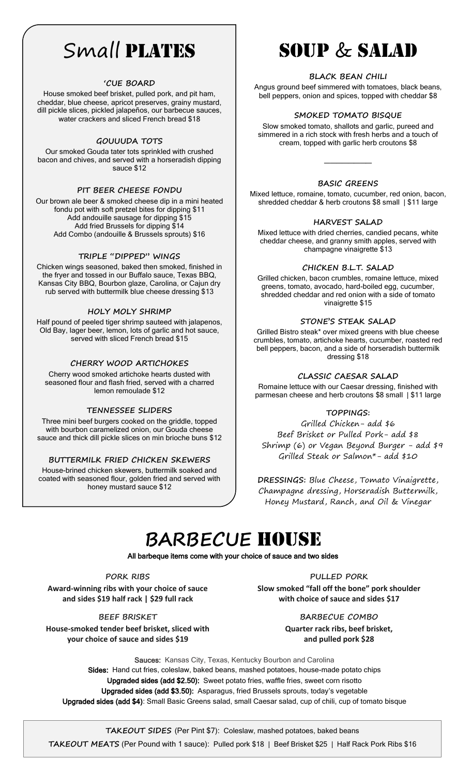# Small PLATES

#### **'CUE BOARD**

House smoked beef brisket, pulled pork, and pit ham, cheddar, blue cheese, apricot preserves, grainy mustard, dill pickle slices, pickled jalapeños, our barbecue sauces, water crackers and sliced French bread \$18

#### **GOUUUDA TOTS**

Our smoked Gouda tater tots sprinkled with crushed bacon and chives, and served with a horseradish dipping sauce \$12

#### **PIT BEER CHEESE FONDU**

Our brown ale beer & smoked cheese dip in a mini heated fondu pot with soft pretzel bites for dipping \$11 Add andouille sausage for dipping \$15 Add fried Brussels for dipping \$14 Add Combo (andouille & Brussels sprouts) \$16

#### **TRIPLE "DIPPED" WINGS**

Chicken wings seasoned, baked then smoked, finished in the fryer and tossed in our Buffalo sauce, Texas BBQ, Kansas City BBQ, Bourbon glaze, Carolina, or Cajun dry rub served with buttermilk blue cheese dressing \$13

#### **HOLY MOLY SHRIMP**

Half pound of peeled tiger shrimp sauteed with jalapenos, Old Bay, lager beer, lemon, lots of garlic and hot sauce, served with sliced French bread \$15

#### **CHERRY WOOD ARTICHOKES**

Cherry wood smoked artichoke hearts dusted with seasoned flour and flash fried, served with a charred lemon remoulade \$12

#### **TENNESSEE SLIDERS**

Three mini beef burgers cooked on the griddle, topped with bourbon caramelized onion, our Gouda cheese sauce and thick dill pickle slices on min brioche buns \$12

#### **BUTTERMILK FRIED CHICKEN SKEWERS**

House-brined chicken skewers, buttermilk soaked and coated with seasoned flour, golden fried and served with honey mustard sauce \$12

# Soup & Salad

#### **BLACK BEAN CHILI**

Angus ground beef simmered with tomatoes, black beans, bell peppers, onion and spices, topped with cheddar \$8

#### **SMOKED TOMATO BISQUE**

Slow smoked tomato, shallots and garlic, pureed and simmered in a rich stock with fresh herbs and a touch of cream, topped with garlic herb croutons \$8

 $\frac{1}{2}$ 

#### **BASIC GREENS**

Mixed lettuce, romaine, tomato, cucumber, red onion, bacon, shredded cheddar & herb croutons \$8 small | \$11 large

#### **HARVEST SALAD**

Mixed lettuce with dried cherries, candied pecans, white cheddar cheese, and granny smith apples, served with champagne vinaigrette \$13

#### **CHICKEN B.L.T. SALAD**

Grilled chicken, bacon crumbles, romaine lettuce, mixed greens, tomato, avocado, hard-boiled egg, cucumber, shredded cheddar and red onion with a side of tomato vinaigrette \$15

#### **STONE'S STEAK SALAD**

Grilled Bistro steak\* over mixed greens with blue cheese crumbles, tomato, artichoke hearts, cucumber, roasted red bell peppers, bacon, and a side of horseradish buttermilk dressing \$18

#### **CLASSIC CAESAR SALAD**

Romaine lettuce with our Caesar dressing, finished with parmesan cheese and herb croutons \$8 small | \$11 large

#### **TOPPINGS:**

Grilled Chicken- add \$6 Beef Brisket or Pulled Pork- add \$8 Shrimp (6) or Vegan Beyond Burger - add  $$9$ Grilled Steak or Salmon\*- add \$10

**DRESSINGS:** Blue Cheese, Tomato Vinaigrette, Champagne dressing, Horseradish Buttermilk, Honey Mustard, Ranch, and Oil & Vinegar

# **BARBECUE** House

All barbeque items come with your choice of sauce and two sides

#### **PORK RIBS**

**Award-winning ribs with your choice of sauce and sides \$19 half rack | \$29 full rack**

**PULLED PORK Slow smoked "fall off the bone" pork shoulder with choice of sauce and sides \$17**

**BEEF BRISKET** 

**House-smoked tender beef brisket, sliced with your choice of sauce and sides \$19**

**BARBECUE COMBO Quarter rack ribs, beef brisket, and pulled pork \$28**

Sauces:Kansas City, Texas, Kentucky Bourbon and Carolina Sides: Hand cut fries, coleslaw, baked beans, mashed potatoes, house-made potato chips Upgraded sides (add \$2.50): Sweet potato fries, waffle fries, sweet corn risotto Upgraded sides (add \$3.50): Asparagus, fried Brussels sprouts, today's vegetable Upgraded sides (add \$4): Small Basic Greens salad, small Caesar salad, cup of chili, cup of tomato bisque

 **TAKEOUT SIDES** (Per Pint \$7): Coleslaw, mashed potatoes, baked beans **TAKEOUT MEATS** (Per Pound with 1 sauce): Pulled pork \$18 | Beef Brisket \$25 | Half Rack Pork Ribs \$16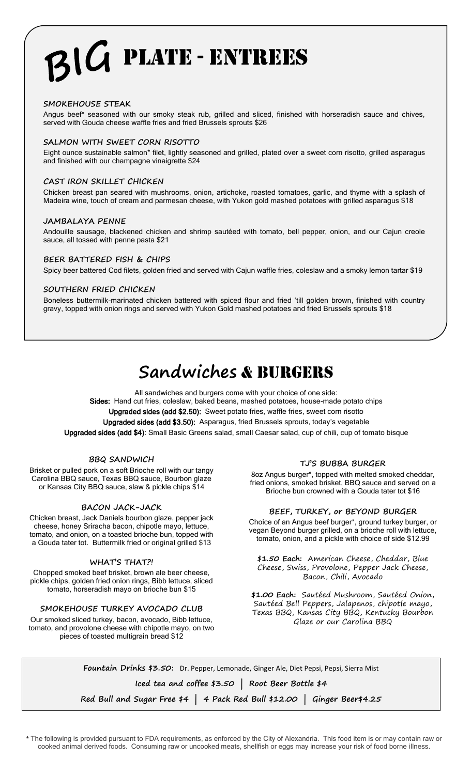# PLATE - entrees

#### **SMOKEHOUSE STEAK**

Angus beef\* seasoned with our smoky steak rub, grilled and sliced, finished with horseradish sauce and chives, served with Gouda cheese waffle fries and fried Brussels sprouts \$26

#### **SALMON WITH SWEET CORN RISOTTO**

Eight ounce sustainable salmon\* filet, lightly seasoned and grilled, plated over a sweet corn risotto, grilled asparagus and finished with our champagne vinaigrette \$24

#### **CAST IRON SKILLET CHICKEN**

Chicken breast pan seared with mushrooms, onion, artichoke, roasted tomatoes, garlic, and thyme with a splash of Madeira wine, touch of cream and parmesan cheese, with Yukon gold mashed potatoes with grilled asparagus \$18

#### **JAMBALAYA PENNE**

Andouille sausage, blackened chicken and shrimp sautéed with tomato, bell pepper, onion, and our Cajun creole sauce, all tossed with penne pasta \$21

#### **BEER BATTERED FISH & CHIPS**

Spicy beer battered Cod filets, golden fried and served with Cajun waffle fries, coleslaw and a smoky lemon tartar \$19

#### **SOUTHERN FRIED CHICKEN**

Boneless buttermilk-marinated chicken battered with spiced flour and fried 'till golden brown, finished with country gravy, topped with onion rings and served with Yukon Gold mashed potatoes and fried Brussels sprouts \$18

# **Sandwiches** & Burgers

All sandwiches and burgers come with your choice of one side: Sides: Hand cut fries, coleslaw, baked beans, mashed potatoes, house-made potato chips Upgraded sides (add \$2.50): Sweet potato fries, waffle fries, sweet corn risotto Upgraded sides (add \$3.50): Asparagus, fried Brussels sprouts, today's vegetable Upgraded sides (add \$4): Small Basic Greens salad, small Caesar salad, cup of chili, cup of tomato bisque

#### **BBQ SANDWICH**

Brisket or pulled pork on a soft Brioche roll with our tangy Carolina BBQ sauce, Texas BBQ sauce, Bourbon glaze or Kansas City BBQ sauce, slaw & pickle chips \$14

#### **BACON JACK-JACK**

Chicken breast, Jack Daniels bourbon glaze, pepper jack cheese, honey Sriracha bacon, chipotle mayo, lettuce, tomato, and onion, on a toasted brioche bun, topped with a Gouda tater tot. Buttermilk fried or original grilled \$13

#### **WHAT'S THAT?!**

Chopped smoked beef brisket, brown ale beer cheese, pickle chips, golden fried onion rings, Bibb lettuce, sliced tomato, horseradish mayo on brioche bun \$15

**SMOKEHOUSE TURKEY AVOCADO CLUB**

Our smoked sliced turkey, bacon, avocado, Bibb lettuce, tomato, and provolone cheese with chipotle mayo, on two pieces of toasted multigrain bread \$12

#### **TJ'S BUBBA BURGER**

8oz Angus burger\*, topped with melted smoked cheddar, fried onions, smoked brisket, BBQ sauce and served on a Brioche bun crowned with a Gouda tater tot \$16

#### **BEEF, TURKEY, or BEYOND BURGER**

Choice of an Angus beef burger\*, ground turkey burger, or vegan Beyond burger grilled, on a brioche roll with lettuce, tomato, onion, and a pickle with choice of side \$12.99

**\$1.50 Each:** American Cheese, Cheddar, Blue Cheese, Swiss, Provolone, Pepper Jack Cheese, Bacon, Chili, Avocado

**\$1.00 Each:** Sautéed Mushroom, Sautéed Onion, Sautéed Bell Peppers, Jalapenos, chipotle mayo, Texas BBQ, Kansas City BBQ, Kentucky Bourbon Glaze or our Carolina BBQ

**Fountain Drinks \$3.50:** Dr. Pepper, Lemonade, Ginger Ale, Diet Pepsi, Pepsi, Sierra Mist

**Iced tea and coffee \$3.50 | Root Beer Bottle \$4** 

**Red Bull and Sugar Free \$4 | 4 Pack Red Bull \$12.00 | Ginger Beer\$4.25**

 \* The following is provided pursuant to FDA requirements, as enforced by the City of Alexandria. This food item is or may contain raw or cooked animal derived foods. Consuming raw or uncooked meats, shellfish or eggs may increase your risk of food borne illness.